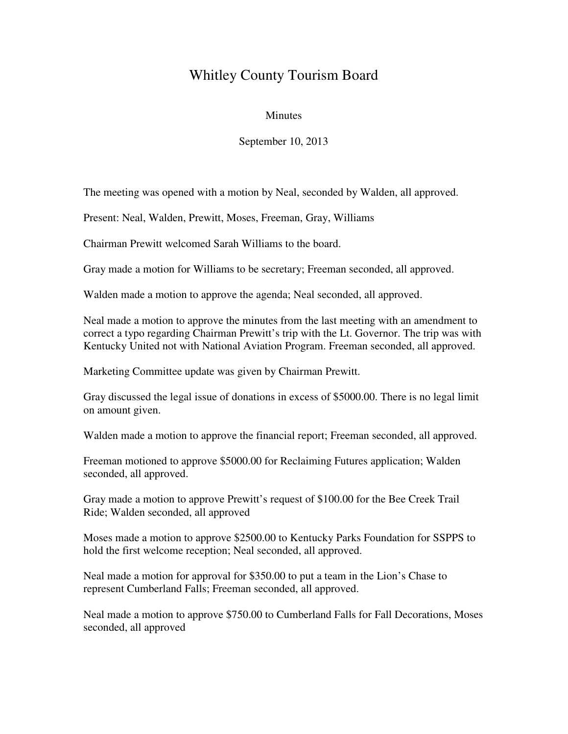## Whitley County Tourism Board

## **Minutes**

September 10, 2013

The meeting was opened with a motion by Neal, seconded by Walden, all approved.

Present: Neal, Walden, Prewitt, Moses, Freeman, Gray, Williams

Chairman Prewitt welcomed Sarah Williams to the board.

Gray made a motion for Williams to be secretary; Freeman seconded, all approved.

Walden made a motion to approve the agenda; Neal seconded, all approved.

Neal made a motion to approve the minutes from the last meeting with an amendment to correct a typo regarding Chairman Prewitt's trip with the Lt. Governor. The trip was with Kentucky United not with National Aviation Program. Freeman seconded, all approved.

Marketing Committee update was given by Chairman Prewitt.

Gray discussed the legal issue of donations in excess of \$5000.00. There is no legal limit on amount given.

Walden made a motion to approve the financial report; Freeman seconded, all approved.

Freeman motioned to approve \$5000.00 for Reclaiming Futures application; Walden seconded, all approved.

Gray made a motion to approve Prewitt's request of \$100.00 for the Bee Creek Trail Ride; Walden seconded, all approved

Moses made a motion to approve \$2500.00 to Kentucky Parks Foundation for SSPPS to hold the first welcome reception; Neal seconded, all approved.

Neal made a motion for approval for \$350.00 to put a team in the Lion's Chase to represent Cumberland Falls; Freeman seconded, all approved.

Neal made a motion to approve \$750.00 to Cumberland Falls for Fall Decorations, Moses seconded, all approved